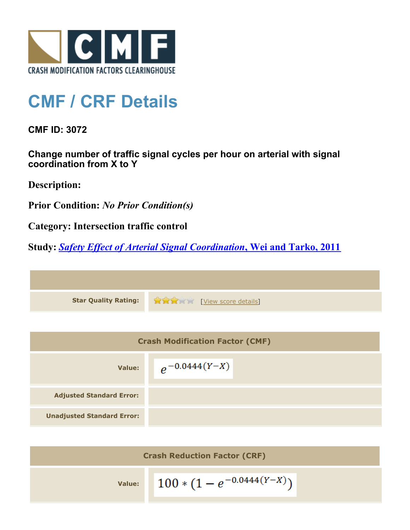

## **CMF / CRF Details**

**CMF ID: 3072**

**Change number of traffic signal cycles per hour on arterial with signal coordination from X to Y**

**Description:** 

**Prior Condition:** *No Prior Condition(s)*

**Category: Intersection traffic control**

**Study:** *[Safety Effect of Arterial Signal Coordination](http://www.cmfclearinghouse.org/study_detail.cfm?stid=219)***[, Wei and Tarko, 2011](http://www.cmfclearinghouse.org/study_detail.cfm?stid=219)**

**Star Quality Rating:**  $\mathbf{\hat{R}}$   $\mathbf{\hat{R}}$   $\mathbf{\hat{R}}$  [[View score details](http://www.cmfclearinghouse.org/score_details.cfm?facid=3072)]

| <b>Crash Modification Factor (CMF)</b> |                    |
|----------------------------------------|--------------------|
| Value:                                 | $e^{-0.0444(Y-X)}$ |
| <b>Adjusted Standard Error:</b>        |                    |
| <b>Unadjusted Standard Error:</b>      |                    |

| <b>Crash Reduction Factor (CRF)</b> |                                |  |
|-------------------------------------|--------------------------------|--|
| Value:                              | $100 * (1 - e^{-0.0444(Y-X)})$ |  |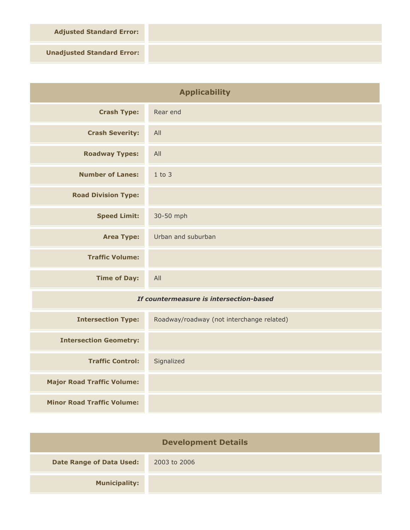**Adjusted Standard Error:**

**Unadjusted Standard Error:**

| <b>Applicability</b>                    |                                           |
|-----------------------------------------|-------------------------------------------|
| <b>Crash Type:</b>                      | Rear end                                  |
| <b>Crash Severity:</b>                  | All                                       |
| <b>Roadway Types:</b>                   | All                                       |
| <b>Number of Lanes:</b>                 | $1$ to $3$                                |
| <b>Road Division Type:</b>              |                                           |
| <b>Speed Limit:</b>                     | 30-50 mph                                 |
| <b>Area Type:</b>                       | Urban and suburban                        |
| <b>Traffic Volume:</b>                  |                                           |
| <b>Time of Day:</b>                     | All                                       |
| If countermeasure is intersection-based |                                           |
| <b>Intersection Type:</b>               | Roadway/roadway (not interchange related) |
| <b>Intersection Geometry:</b>           |                                           |
| <b>Traffic Control:</b>                 | Signalized                                |
| <b>Major Road Traffic Volume:</b>       |                                           |
| <b>Minor Road Traffic Volume:</b>       |                                           |

| <b>Development Details</b> |              |
|----------------------------|--------------|
| Date Range of Data Used:   | 2003 to 2006 |
| <b>Municipality:</b>       |              |